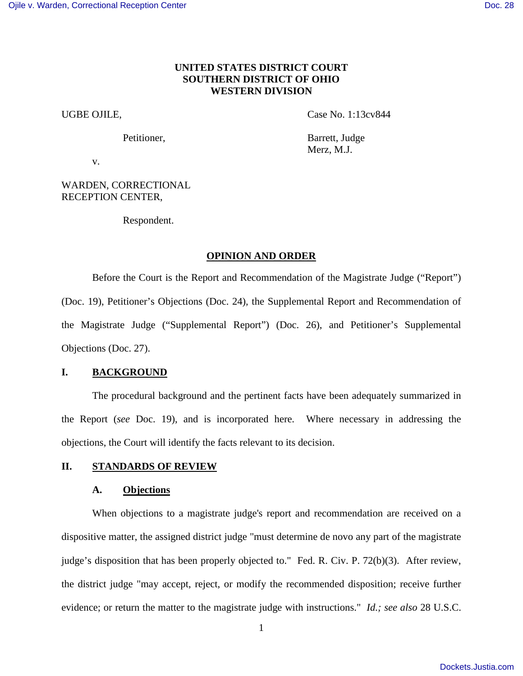# **UNITED STATES DISTRICT COURT SOUTHERN DISTRICT OF OHIO WESTERN DIVISION**

UGBE OJILE, Case No. 1:13cv844

Petitioner, Barrett, Judge Merz, M.J.

v.

WARDEN, CORRECTIONAL RECEPTION CENTER,

Respondent.

# **OPINION AND ORDER**

Before the Court is the Report and Recommendation of the Magistrate Judge ("Report") (Doc. 19), Petitioner's Objections (Doc. 24), the Supplemental Report and Recommendation of the Magistrate Judge ("Supplemental Report") (Doc. 26), and Petitioner's Supplemental Objections (Doc. 27).

# **I. BACKGROUND**

The procedural background and the pertinent facts have been adequately summarized in the Report (*see* Doc. 19), and is incorporated here. Where necessary in addressing the objections, the Court will identify the facts relevant to its decision.

# **II. STANDARDS OF REVIEW**

# **A. Objections**

When objections to a magistrate judge's report and recommendation are received on a dispositive matter, the assigned district judge "must determine de novo any part of the magistrate judge's disposition that has been properly objected to." Fed. R. Civ. P. 72(b)(3). After review, the district judge "may accept, reject, or modify the recommended disposition; receive further evidence; or return the matter to the magistrate judge with instructions." *Id.; see also* 28 U.S.C.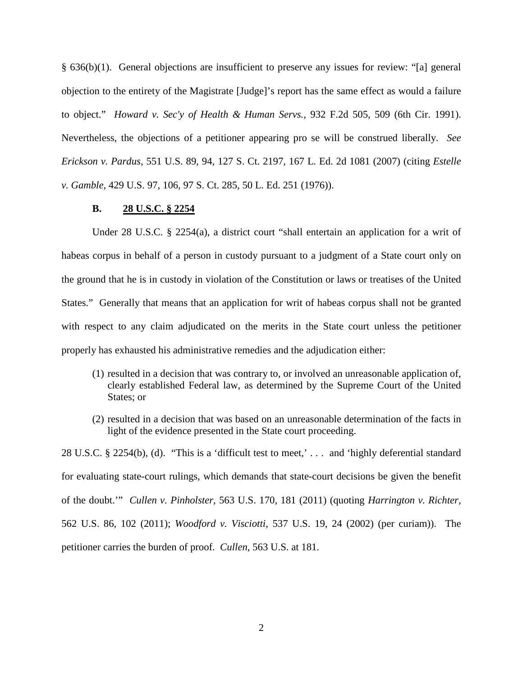§ 636(b)(1). General objections are insufficient to preserve any issues for review: "[a] general objection to the entirety of the Magistrate [Judge]'s report has the same effect as would a failure to object." *Howard v. Sec'y of Health & Human Servs.*, 932 F.2d 505, 509 (6th Cir. 1991). Nevertheless, the objections of a petitioner appearing pro se will be construed liberally. *See Erickson v. Pardus,* 551 U.S. 89, 94, 127 S. Ct. 2197, 167 L. Ed. 2d 1081 (2007) (citing *Estelle v. Gamble*, 429 U.S. 97, 106, 97 S. Ct. 285, 50 L. Ed. 251 (1976)).

# **B. 28 U.S.C. § 2254**

Under 28 U.S.C. § 2254(a), a district court "shall entertain an application for a writ of habeas corpus in behalf of a person in custody pursuant to a judgment of a State court only on the ground that he is in custody in violation of the Constitution or laws or treatises of the United States." Generally that means that an application for writ of habeas corpus shall not be granted with respect to any claim adjudicated on the merits in the State court unless the petitioner properly has exhausted his administrative remedies and the adjudication either:

- (1) resulted in a decision that was contrary to, or involved an unreasonable application of, clearly established Federal law, as determined by the Supreme Court of the United States; or
- (2) resulted in a decision that was based on an unreasonable determination of the facts in light of the evidence presented in the State court proceeding.

28 U.S.C. § 2254(b), (d). "This is a 'difficult test to meet,' . . . and 'highly deferential standard for evaluating state-court rulings, which demands that state-court decisions be given the benefit of the doubt.'" *Cullen v. Pinholster*, 563 U.S. 170, 181 (2011) (quoting *Harrington v. Richter*, 562 U.S. 86, 102 (2011); *Woodford v. Visciotti*, 537 U.S. 19, 24 (2002) (per curiam)). The petitioner carries the burden of proof. *Cullen*, 563 U.S. at 181.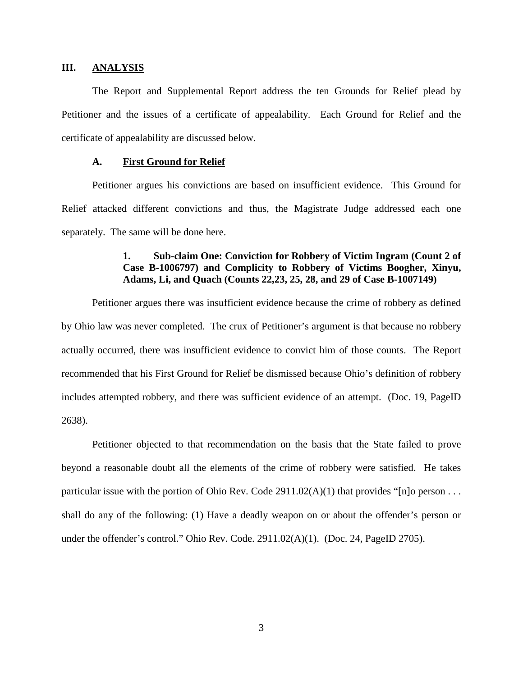## **III. ANALYSIS**

The Report and Supplemental Report address the ten Grounds for Relief plead by Petitioner and the issues of a certificate of appealability. Each Ground for Relief and the certificate of appealability are discussed below.

# **A. First Ground for Relief**

Petitioner argues his convictions are based on insufficient evidence. This Ground for Relief attacked different convictions and thus, the Magistrate Judge addressed each one separately. The same will be done here.

# **1. Sub-claim One: Conviction for Robbery of Victim Ingram (Count 2 of Case B-1006797) and Complicity to Robbery of Victims Boogher, Xinyu, Adams, Li, and Quach (Counts 22,23, 25, 28, and 29 of Case B-1007149)**

Petitioner argues there was insufficient evidence because the crime of robbery as defined by Ohio law was never completed. The crux of Petitioner's argument is that because no robbery actually occurred, there was insufficient evidence to convict him of those counts. The Report recommended that his First Ground for Relief be dismissed because Ohio's definition of robbery includes attempted robbery, and there was sufficient evidence of an attempt. (Doc. 19, PageID 2638).

Petitioner objected to that recommendation on the basis that the State failed to prove beyond a reasonable doubt all the elements of the crime of robbery were satisfied. He takes particular issue with the portion of Ohio Rev. Code 2911.02(A)(1) that provides "[n]o person . . . shall do any of the following: (1) Have a deadly weapon on or about the offender's person or under the offender's control." Ohio Rev. Code. 2911.02(A)(1). (Doc. 24, PageID 2705).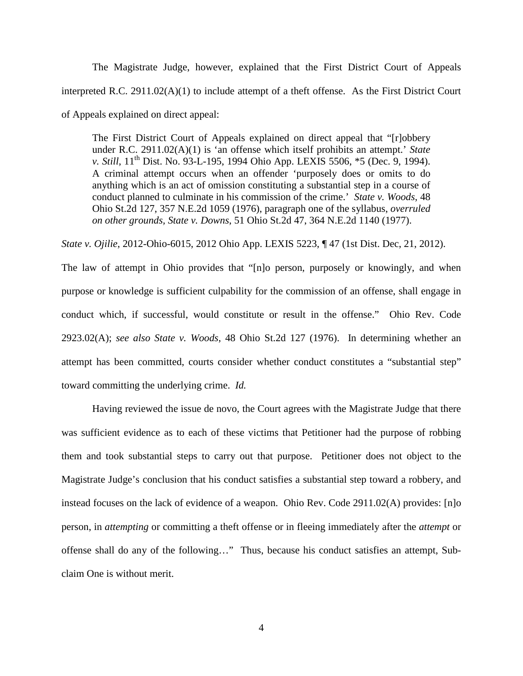The Magistrate Judge, however, explained that the First District Court of Appeals interpreted R.C.  $2911.02(A)(1)$  to include attempt of a theft offense. As the First District Court of Appeals explained on direct appeal:

The First District Court of Appeals explained on direct appeal that "[r]obbery under R.C. 2911.02(A)(1) is 'an offense which itself prohibits an attempt.' *State v. Still*, 11<sup>th</sup> Dist. No. 93-L-195, 1994 Ohio App. LEXIS 5506, \*5 (Dec. 9, 1994). A criminal attempt occurs when an offender 'purposely does or omits to do anything which is an act of omission constituting a substantial step in a course of conduct planned to culminate in his commission of the crime.' *State v. Woods*, 48 Ohio St.2d 127, 357 N.E.2d 1059 (1976), paragraph one of the syllabus, *overruled on other grounds, State v. Downs*, 51 Ohio St.2d 47, 364 N.E.2d 1140 (1977).

*State v. Ojilie*, 2012-Ohio-6015, 2012 Ohio App. LEXIS 5223, ¶ 47 (1st Dist. Dec, 21, 2012).

The law of attempt in Ohio provides that "[n]o person, purposely or knowingly, and when purpose or knowledge is sufficient culpability for the commission of an offense, shall engage in conduct which, if successful, would constitute or result in the offense." Ohio Rev. Code 2923.02(A); *see also State v. Woods*, 48 Ohio St.2d 127 (1976). In determining whether an attempt has been committed, courts consider whether conduct constitutes a "substantial step" toward committing the underlying crime. *Id.*

Having reviewed the issue de novo, the Court agrees with the Magistrate Judge that there was sufficient evidence as to each of these victims that Petitioner had the purpose of robbing them and took substantial steps to carry out that purpose. Petitioner does not object to the Magistrate Judge's conclusion that his conduct satisfies a substantial step toward a robbery, and instead focuses on the lack of evidence of a weapon. Ohio Rev. Code 2911.02(A) provides: [n]o person, in *attempting* or committing a theft offense or in fleeing immediately after the *attempt* or offense shall do any of the following…" Thus, because his conduct satisfies an attempt, Subclaim One is without merit.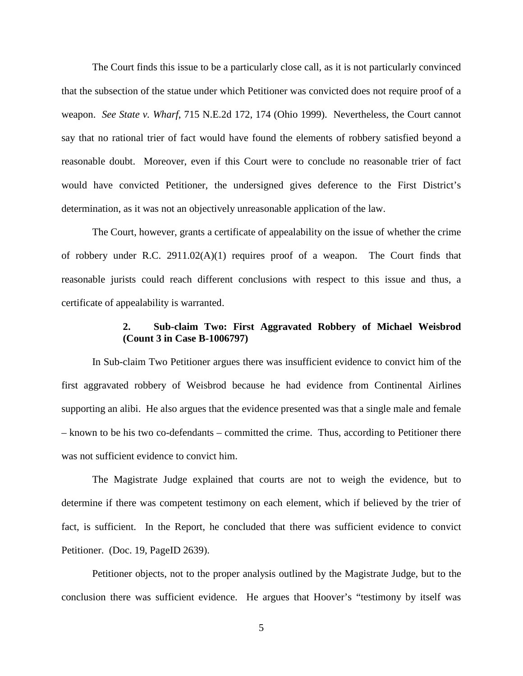The Court finds this issue to be a particularly close call, as it is not particularly convinced that the subsection of the statue under which Petitioner was convicted does not require proof of a weapon. *See State v. Wharf*, 715 N.E.2d 172, 174 (Ohio 1999). Nevertheless, the Court cannot say that no rational trier of fact would have found the elements of robbery satisfied beyond a reasonable doubt. Moreover, even if this Court were to conclude no reasonable trier of fact would have convicted Petitioner, the undersigned gives deference to the First District's determination, as it was not an objectively unreasonable application of the law.

The Court, however, grants a certificate of appealability on the issue of whether the crime of robbery under R.C. 2911.02(A)(1) requires proof of a weapon. The Court finds that reasonable jurists could reach different conclusions with respect to this issue and thus, a certificate of appealability is warranted.

# **2. Sub-claim Two: First Aggravated Robbery of Michael Weisbrod (Count 3 in Case B-1006797)**

In Sub-claim Two Petitioner argues there was insufficient evidence to convict him of the first aggravated robbery of Weisbrod because he had evidence from Continental Airlines supporting an alibi. He also argues that the evidence presented was that a single male and female – known to be his two co-defendants – committed the crime. Thus, according to Petitioner there was not sufficient evidence to convict him.

The Magistrate Judge explained that courts are not to weigh the evidence, but to determine if there was competent testimony on each element, which if believed by the trier of fact, is sufficient. In the Report, he concluded that there was sufficient evidence to convict Petitioner. (Doc. 19, PageID 2639).

Petitioner objects, not to the proper analysis outlined by the Magistrate Judge, but to the conclusion there was sufficient evidence. He argues that Hoover's "testimony by itself was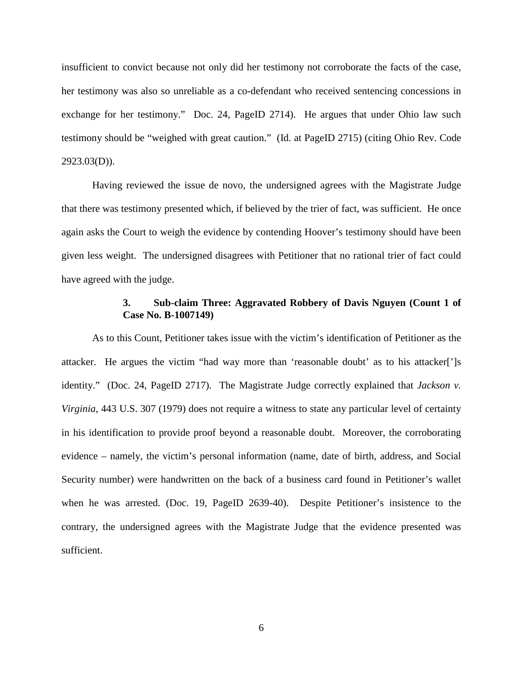insufficient to convict because not only did her testimony not corroborate the facts of the case, her testimony was also so unreliable as a co-defendant who received sentencing concessions in exchange for her testimony." Doc. 24, PageID 2714). He argues that under Ohio law such testimony should be "weighed with great caution." (Id. at PageID 2715) (citing Ohio Rev. Code  $2923.03(D)$ ).

Having reviewed the issue de novo, the undersigned agrees with the Magistrate Judge that there was testimony presented which, if believed by the trier of fact, was sufficient. He once again asks the Court to weigh the evidence by contending Hoover's testimony should have been given less weight. The undersigned disagrees with Petitioner that no rational trier of fact could have agreed with the judge.

# **3. Sub-claim Three: Aggravated Robbery of Davis Nguyen (Count 1 of Case No. B-1007149)**

As to this Count, Petitioner takes issue with the victim's identification of Petitioner as the attacker. He argues the victim "had way more than 'reasonable doubt' as to his attacker[']s identity." (Doc. 24, PageID 2717). The Magistrate Judge correctly explained that *Jackson v. Virginia*, 443 U.S. 307 (1979) does not require a witness to state any particular level of certainty in his identification to provide proof beyond a reasonable doubt. Moreover, the corroborating evidence – namely, the victim's personal information (name, date of birth, address, and Social Security number) were handwritten on the back of a business card found in Petitioner's wallet when he was arrested. (Doc. 19, PageID 2639-40). Despite Petitioner's insistence to the contrary, the undersigned agrees with the Magistrate Judge that the evidence presented was sufficient.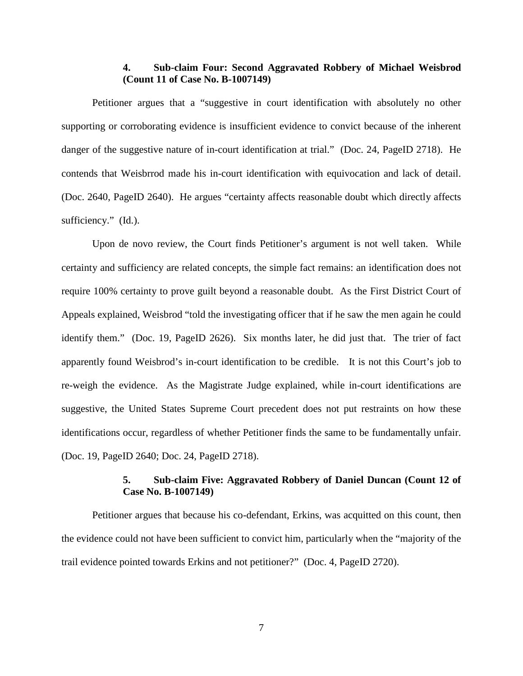# **4. Sub-claim Four: Second Aggravated Robbery of Michael Weisbrod (Count 11 of Case No. B-1007149)**

Petitioner argues that a "suggestive in court identification with absolutely no other supporting or corroborating evidence is insufficient evidence to convict because of the inherent danger of the suggestive nature of in-court identification at trial." (Doc. 24, PageID 2718). He contends that Weisbrrod made his in-court identification with equivocation and lack of detail. (Doc. 2640, PageID 2640). He argues "certainty affects reasonable doubt which directly affects sufficiency." (Id.).

Upon de novo review, the Court finds Petitioner's argument is not well taken. While certainty and sufficiency are related concepts, the simple fact remains: an identification does not require 100% certainty to prove guilt beyond a reasonable doubt. As the First District Court of Appeals explained, Weisbrod "told the investigating officer that if he saw the men again he could identify them." (Doc. 19, PageID 2626). Six months later, he did just that. The trier of fact apparently found Weisbrod's in-court identification to be credible. It is not this Court's job to re-weigh the evidence. As the Magistrate Judge explained, while in-court identifications are suggestive, the United States Supreme Court precedent does not put restraints on how these identifications occur, regardless of whether Petitioner finds the same to be fundamentally unfair. (Doc. 19, PageID 2640; Doc. 24, PageID 2718).

# **5. Sub-claim Five: Aggravated Robbery of Daniel Duncan (Count 12 of Case No. B-1007149)**

Petitioner argues that because his co-defendant, Erkins, was acquitted on this count, then the evidence could not have been sufficient to convict him, particularly when the "majority of the trail evidence pointed towards Erkins and not petitioner?" (Doc. 4, PageID 2720).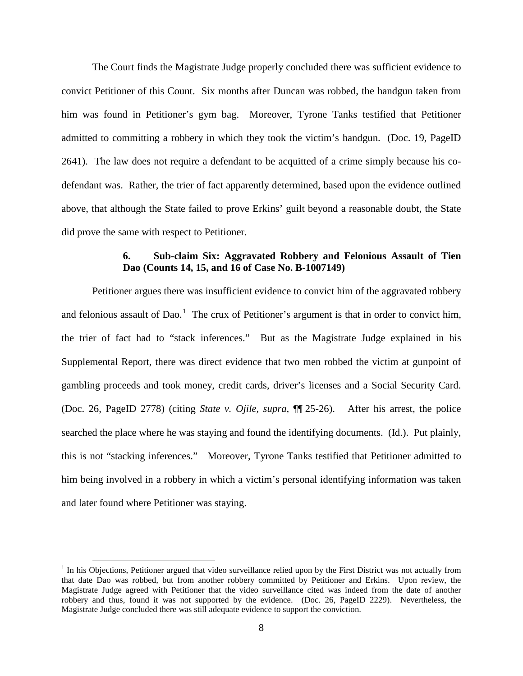The Court finds the Magistrate Judge properly concluded there was sufficient evidence to convict Petitioner of this Count. Six months after Duncan was robbed, the handgun taken from him was found in Petitioner's gym bag. Moreover, Tyrone Tanks testified that Petitioner admitted to committing a robbery in which they took the victim's handgun. (Doc. 19, PageID 2641). The law does not require a defendant to be acquitted of a crime simply because his codefendant was. Rather, the trier of fact apparently determined, based upon the evidence outlined above, that although the State failed to prove Erkins' guilt beyond a reasonable doubt, the State did prove the same with respect to Petitioner.

# **6. Sub-claim Six: Aggravated Robbery and Felonious Assault of Tien Dao (Counts 14, 15, and 16 of Case No. B-1007149)**

Petitioner argues there was insufficient evidence to convict him of the aggravated robbery and felonious assault of Dao.<sup>[1](#page-7-0)</sup> The crux of Petitioner's argument is that in order to convict him, the trier of fact had to "stack inferences." But as the Magistrate Judge explained in his Supplemental Report, there was direct evidence that two men robbed the victim at gunpoint of gambling proceeds and took money, credit cards, driver's licenses and a Social Security Card. (Doc. 26, PageID 2778) (citing *State v. Ojile, supra*, ¶¶ 25-26). After his arrest, the police searched the place where he was staying and found the identifying documents. (Id.). Put plainly, this is not "stacking inferences." Moreover, Tyrone Tanks testified that Petitioner admitted to him being involved in a robbery in which a victim's personal identifying information was taken and later found where Petitioner was staying.

 $\overline{a}$ 

<span id="page-7-0"></span><sup>&</sup>lt;sup>1</sup> In his Objections, Petitioner argued that video surveillance relied upon by the First District was not actually from that date Dao was robbed, but from another robbery committed by Petitioner and Erkins. Upon review, the Magistrate Judge agreed with Petitioner that the video surveillance cited was indeed from the date of another robbery and thus, found it was not supported by the evidence. (Doc. 26, PageID 2229). Nevertheless, the Magistrate Judge concluded there was still adequate evidence to support the conviction.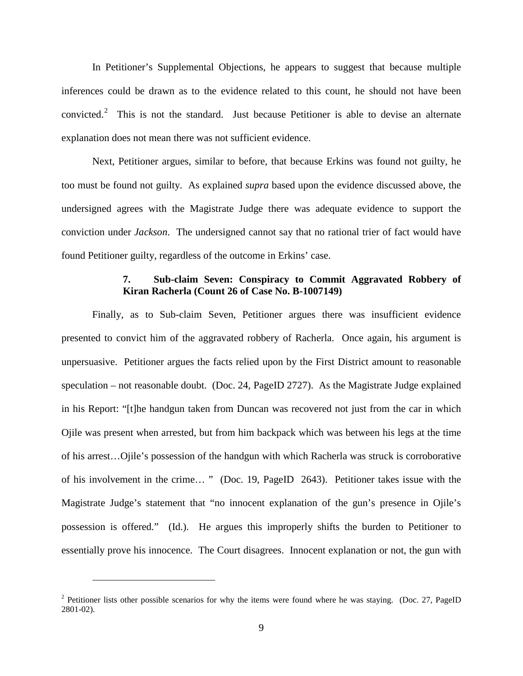In Petitioner's Supplemental Objections, he appears to suggest that because multiple inferences could be drawn as to the evidence related to this count, he should not have been convicted.<sup>[2](#page-8-0)</sup> This is not the standard. Just because Petitioner is able to devise an alternate explanation does not mean there was not sufficient evidence.

Next, Petitioner argues, similar to before, that because Erkins was found not guilty, he too must be found not guilty. As explained *supra* based upon the evidence discussed above, the undersigned agrees with the Magistrate Judge there was adequate evidence to support the conviction under *Jackson*. The undersigned cannot say that no rational trier of fact would have found Petitioner guilty, regardless of the outcome in Erkins' case.

# **7. Sub-claim Seven: Conspiracy to Commit Aggravated Robbery of Kiran Racherla (Count 26 of Case No. B-1007149)**

Finally, as to Sub-claim Seven, Petitioner argues there was insufficient evidence presented to convict him of the aggravated robbery of Racherla. Once again, his argument is unpersuasive. Petitioner argues the facts relied upon by the First District amount to reasonable speculation – not reasonable doubt. (Doc. 24, PageID 2727). As the Magistrate Judge explained in his Report: "[t]he handgun taken from Duncan was recovered not just from the car in which Ojile was present when arrested, but from him backpack which was between his legs at the time of his arrest…Ojile's possession of the handgun with which Racherla was struck is corroborative of his involvement in the crime… " (Doc. 19, PageID 2643). Petitioner takes issue with the Magistrate Judge's statement that "no innocent explanation of the gun's presence in Ojile's possession is offered." (Id.). He argues this improperly shifts the burden to Petitioner to essentially prove his innocence. The Court disagrees. Innocent explanation or not, the gun with

 $\overline{a}$ 

<span id="page-8-0"></span><sup>&</sup>lt;sup>2</sup> Petitioner lists other possible scenarios for why the items were found where he was staying. (Doc. 27, PageID 2801-02).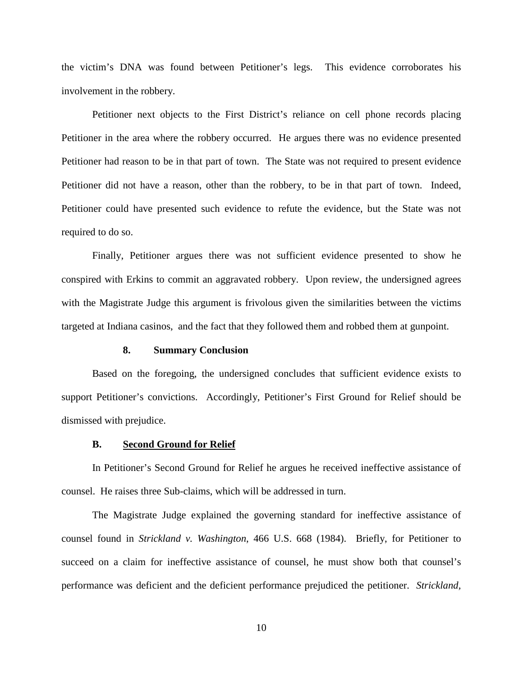the victim's DNA was found between Petitioner's legs. This evidence corroborates his involvement in the robbery.

Petitioner next objects to the First District's reliance on cell phone records placing Petitioner in the area where the robbery occurred. He argues there was no evidence presented Petitioner had reason to be in that part of town. The State was not required to present evidence Petitioner did not have a reason, other than the robbery, to be in that part of town. Indeed, Petitioner could have presented such evidence to refute the evidence, but the State was not required to do so.

Finally, Petitioner argues there was not sufficient evidence presented to show he conspired with Erkins to commit an aggravated robbery. Upon review, the undersigned agrees with the Magistrate Judge this argument is frivolous given the similarities between the victims targeted at Indiana casinos, and the fact that they followed them and robbed them at gunpoint.

### **8. Summary Conclusion**

Based on the foregoing, the undersigned concludes that sufficient evidence exists to support Petitioner's convictions. Accordingly, Petitioner's First Ground for Relief should be dismissed with prejudice.

#### **B. Second Ground for Relief**

In Petitioner's Second Ground for Relief he argues he received ineffective assistance of counsel. He raises three Sub-claims, which will be addressed in turn.

The Magistrate Judge explained the governing standard for ineffective assistance of counsel found in *Strickland v. Washington*, 466 U.S. 668 (1984). Briefly, for Petitioner to succeed on a claim for ineffective assistance of counsel, he must show both that counsel's performance was deficient and the deficient performance prejudiced the petitioner. *[Strickland,](https://1.next.westlaw.com/Link/Document/FullText?findType=Y&serNum=1984123336&pubNum=708&originatingDoc=I9cc356a83ffd11e3a341ea44e5e1f25f&refType=RP&originationContext=document&transitionType=DocumentItem&contextData=(sc.UserEnteredCitation))*

10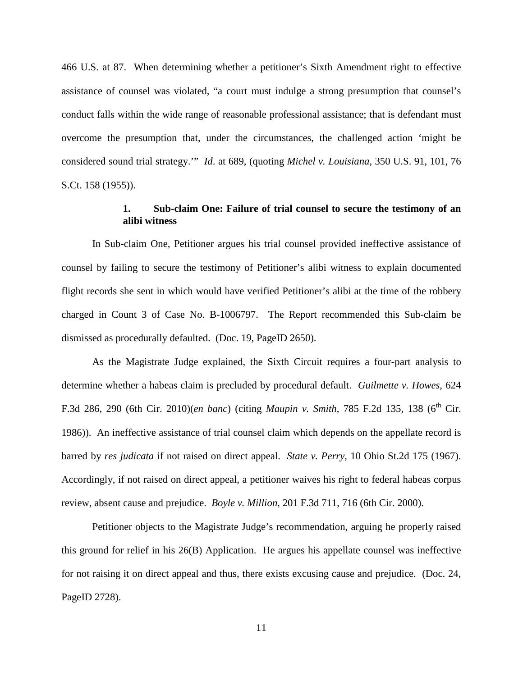[466 U.S. at 87.](https://1.next.westlaw.com/Link/Document/FullText?findType=Y&serNum=1984123336&pubNum=708&originatingDoc=I9cc356a83ffd11e3a341ea44e5e1f25f&refType=RP&originationContext=document&transitionType=DocumentItem&contextData=(sc.UserEnteredCitation)) When determining whether a petitioner's Sixth Amendment right to effective assistance of counsel was violated, "a court must indulge a strong presumption that counsel's conduct falls within the wide range of reasonable professional assistance; that is defendant must overcome the presumption that, under the circumstances, the challenged action 'might be considered sound trial strategy.'" *[Id](https://1.next.westlaw.com/Link/Document/FullText?findType=Y&serNum=1984123336&pubNum=708&originatingDoc=I9cc356a83ffd11e3a341ea44e5e1f25f&refType=RP&originationContext=document&transitionType=DocumentItem&contextData=(sc.UserEnteredCitation))*. at 689, (quoting *Michel v. Louisiana,* [350 U.S. 91, 101, 76](https://1.next.westlaw.com/Link/Document/FullText?findType=Y&serNum=1955119691&pubNum=708&originatingDoc=I9cc356a83ffd11e3a341ea44e5e1f25f&refType=RP&originationContext=document&transitionType=DocumentItem&contextData=(sc.UserEnteredCitation))  [S.Ct. 158 \(1955\)\)](https://1.next.westlaw.com/Link/Document/FullText?findType=Y&serNum=1955119691&pubNum=708&originatingDoc=I9cc356a83ffd11e3a341ea44e5e1f25f&refType=RP&originationContext=document&transitionType=DocumentItem&contextData=(sc.UserEnteredCitation)).

# **1. Sub-claim One: Failure of trial counsel to secure the testimony of an alibi witness**

In Sub-claim One, Petitioner argues his trial counsel provided ineffective assistance of counsel by failing to secure the testimony of Petitioner's alibi witness to explain documented flight records she sent in which would have verified Petitioner's alibi at the time of the robbery charged in Count 3 of Case No. B-1006797. The Report recommended this Sub-claim be dismissed as procedurally defaulted. (Doc. 19, PageID 2650).

As the Magistrate Judge explained, the Sixth Circuit requires a four-part analysis to determine whether a habeas claim is precluded by procedural default. *Guilmette v. Howes*, 624 F.3d 286, 290 (6th Cir. 2010)(*en banc*) (citing *Maupin v. Smith*, 785 F.2d 135, 138 (6<sup>th</sup> Cir. 1986)). An ineffective assistance of trial counsel claim which depends on the appellate record is barred by *res judicata* if not raised on direct appeal. *State v. Perry*, 10 Ohio St.2d 175 (1967). Accordingly, if not raised on direct appeal, a petitioner waives his right to federal habeas corpus review, absent cause and prejudice. *Boyle v. Million*, 201 F.3d 711, 716 (6th Cir. 2000).

Petitioner objects to the Magistrate Judge's recommendation, arguing he properly raised this ground for relief in his 26(B) Application. He argues his appellate counsel was ineffective for not raising it on direct appeal and thus, there exists excusing cause and prejudice. (Doc. 24, PageID 2728).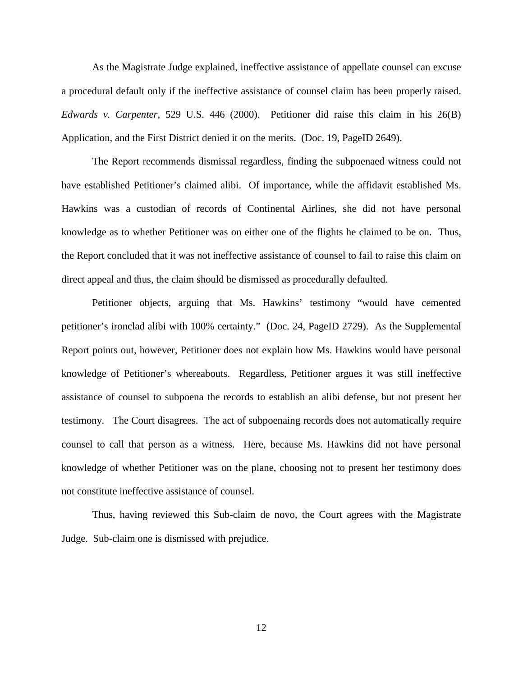As the Magistrate Judge explained, ineffective assistance of appellate counsel can excuse a procedural default only if the ineffective assistance of counsel claim has been properly raised. *Edwards v. Carpenter*, 529 U.S. 446 (2000). Petitioner did raise this claim in his 26(B) Application, and the First District denied it on the merits. (Doc. 19, PageID 2649).

The Report recommends dismissal regardless, finding the subpoenaed witness could not have established Petitioner's claimed alibi. Of importance, while the affidavit established Ms. Hawkins was a custodian of records of Continental Airlines, she did not have personal knowledge as to whether Petitioner was on either one of the flights he claimed to be on. Thus, the Report concluded that it was not ineffective assistance of counsel to fail to raise this claim on direct appeal and thus, the claim should be dismissed as procedurally defaulted.

Petitioner objects, arguing that Ms. Hawkins' testimony "would have cemented petitioner's ironclad alibi with 100% certainty." (Doc. 24, PageID 2729). As the Supplemental Report points out, however, Petitioner does not explain how Ms. Hawkins would have personal knowledge of Petitioner's whereabouts. Regardless, Petitioner argues it was still ineffective assistance of counsel to subpoena the records to establish an alibi defense, but not present her testimony. The Court disagrees. The act of subpoenaing records does not automatically require counsel to call that person as a witness. Here, because Ms. Hawkins did not have personal knowledge of whether Petitioner was on the plane, choosing not to present her testimony does not constitute ineffective assistance of counsel.

Thus, having reviewed this Sub-claim de novo, the Court agrees with the Magistrate Judge. Sub-claim one is dismissed with prejudice.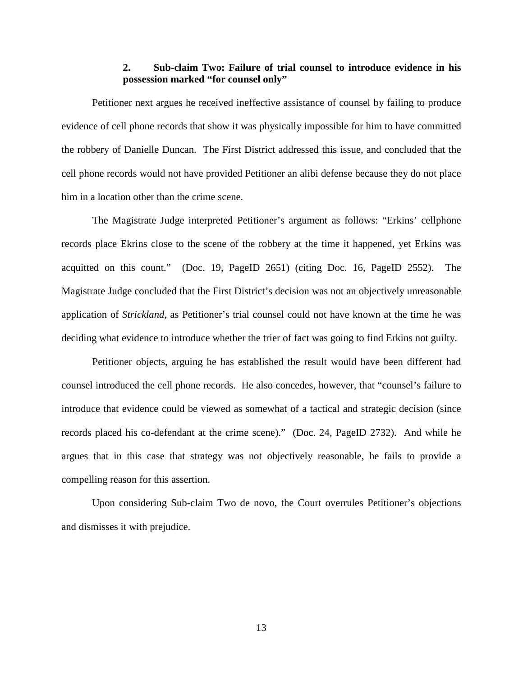# **2. Sub-claim Two: Failure of trial counsel to introduce evidence in his possession marked "for counsel only"**

Petitioner next argues he received ineffective assistance of counsel by failing to produce evidence of cell phone records that show it was physically impossible for him to have committed the robbery of Danielle Duncan. The First District addressed this issue, and concluded that the cell phone records would not have provided Petitioner an alibi defense because they do not place him in a location other than the crime scene.

The Magistrate Judge interpreted Petitioner's argument as follows: "Erkins' cellphone records place Ekrins close to the scene of the robbery at the time it happened, yet Erkins was acquitted on this count." (Doc. 19, PageID 2651) (citing Doc. 16, PageID 2552). The Magistrate Judge concluded that the First District's decision was not an objectively unreasonable application of *Strickland*, as Petitioner's trial counsel could not have known at the time he was deciding what evidence to introduce whether the trier of fact was going to find Erkins not guilty.

Petitioner objects, arguing he has established the result would have been different had counsel introduced the cell phone records. He also concedes, however, that "counsel's failure to introduce that evidence could be viewed as somewhat of a tactical and strategic decision (since records placed his co-defendant at the crime scene)." (Doc. 24, PageID 2732). And while he argues that in this case that strategy was not objectively reasonable, he fails to provide a compelling reason for this assertion.

Upon considering Sub-claim Two de novo, the Court overrules Petitioner's objections and dismisses it with prejudice.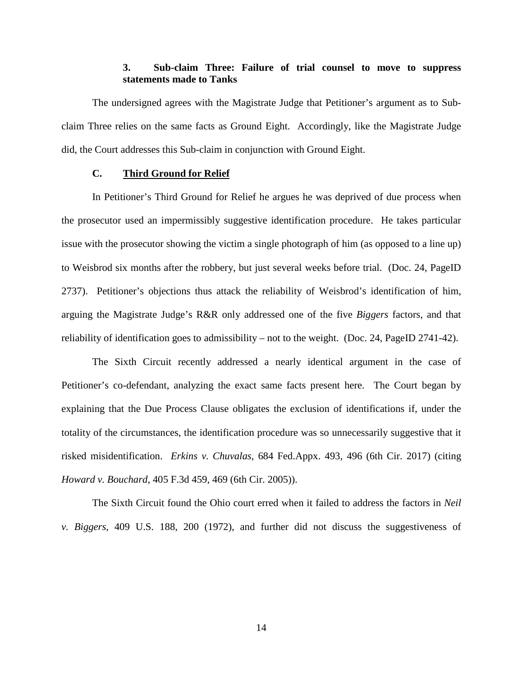# **3. Sub-claim Three: Failure of trial counsel to move to suppress statements made to Tanks**

The undersigned agrees with the Magistrate Judge that Petitioner's argument as to Subclaim Three relies on the same facts as Ground Eight. Accordingly, like the Magistrate Judge did, the Court addresses this Sub-claim in conjunction with Ground Eight.

# **C. Third Ground for Relief**

In Petitioner's Third Ground for Relief he argues he was deprived of due process when the prosecutor used an impermissibly suggestive identification procedure. He takes particular issue with the prosecutor showing the victim a single photograph of him (as opposed to a line up) to Weisbrod six months after the robbery, but just several weeks before trial. (Doc. 24, PageID 2737). Petitioner's objections thus attack the reliability of Weisbrod's identification of him, arguing the Magistrate Judge's R&R only addressed one of the five *Biggers* factors, and that reliability of identification goes to admissibility – not to the weight. (Doc. 24, PageID 2741-42).

The Sixth Circuit recently addressed a nearly identical argument in the case of Petitioner's co-defendant, analyzing the exact same facts present here. The Court began by explaining that the Due Process Clause obligates the exclusion of identifications if, under the totality of the circumstances, the identification procedure was so unnecessarily suggestive that it risked misidentification. *Erkins v. Chuvalas*, 684 Fed.Appx. 493, 496 (6th Cir. 2017) (citing *Howard v. Bouchard*, 405 F.3d 459, 469 (6th Cir. 2005)).

The Sixth Circuit found the Ohio court erred when it failed to address the factors in *Neil v. Biggers*, 409 U.S. 188, 200 (1972), and further did not discuss the suggestiveness of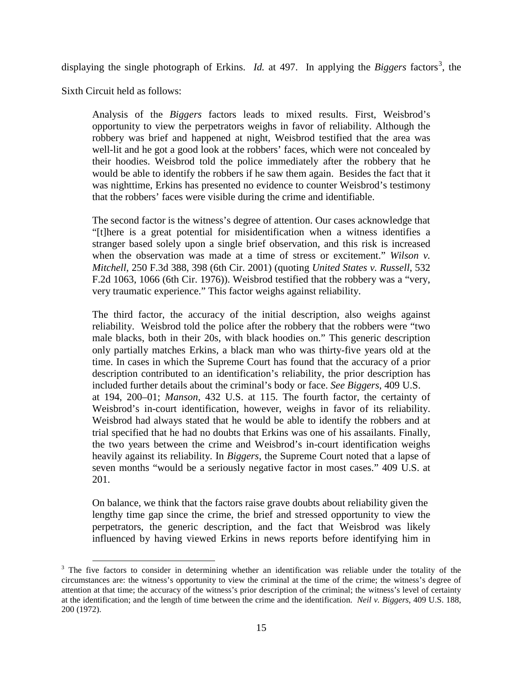displaying the single photograph of Erkins. *Id.* at 497. In applying the *Biggers* factors<sup>[3](#page-14-0)</sup>, the

Sixth Circuit held as follows:

 $\overline{a}$ 

Analysis of the *Biggers* factors leads to mixed results. First, Weisbrod's opportunity to view the perpetrators weighs in favor of reliability. Although the robbery was brief and happened at night, Weisbrod testified that the area was well-lit and he got a good look at the robbers' faces, which were not concealed by their hoodies. Weisbrod told the police immediately after the robbery that he would be able to identify the robbers if he saw them again. Besides the fact that it was nighttime, Erkins has presented no evidence to counter Weisbrod's testimony that the robbers' faces were visible during the crime and identifiable.

The second factor is the witness's degree of attention. Our cases acknowledge that "[t]here is a great potential for misidentification when a witness identifies a stranger based solely upon a single brief observation, and this risk is increased when the observation was made at a time of stress or excitement." *Wilson v. Mitchell*, 250 F.3d 388, 398 (6th Cir. 2001) (quoting *United States v. Russell*, 532 F.2d 1063, 1066 (6th Cir. 1976)). Weisbrod testified that the robbery was a "very, very traumatic experience." This factor weighs against reliability.

The third factor, the accuracy of the initial description, also weighs against reliability. Weisbrod told the police after the robbery that the robbers were "two male blacks, both in their 20s, with black hoodies on." This generic description only partially matches Erkins, a black man who was thirty-five years old at the time. In cases in which the Supreme Court has found that the accuracy of a prior description contributed to an identification's reliability, the prior description has included further details about the criminal's body or face. *See Biggers*, 409 U.S. at 194, 200–01; *Manson*, 432 U.S. at 115. The fourth factor, the certainty of Weisbrod's in-court identification, however, weighs in favor of its reliability. Weisbrod had always stated that he would be able to identify the robbers and at trial specified that he had no doubts that Erkins was one of his assailants. Finally, the two years between the crime and Weisbrod's in-court identification weighs heavily against its reliability. In *Biggers*, the Supreme Court noted that a lapse of seven months "would be a seriously negative factor in most cases." 409 U.S. at 201.

On balance, we think that the factors raise grave doubts about reliability given the lengthy time gap since the crime, the brief and stressed opportunity to view the perpetrators, the generic description, and the fact that Weisbrod was likely influenced by having viewed Erkins in news reports before identifying him in

<span id="page-14-0"></span><sup>&</sup>lt;sup>3</sup> The five factors to consider in determining whether an identification was reliable under the totality of the circumstances are: the witness's opportunity to view the criminal at the time of the crime; the witness's degree of attention at that time; the accuracy of the witness's prior description of the criminal; the witness's level of certainty at the identification; and the length of time between the crime and the identification. *Neil v. Biggers*, 409 U.S. 188, 200 (1972).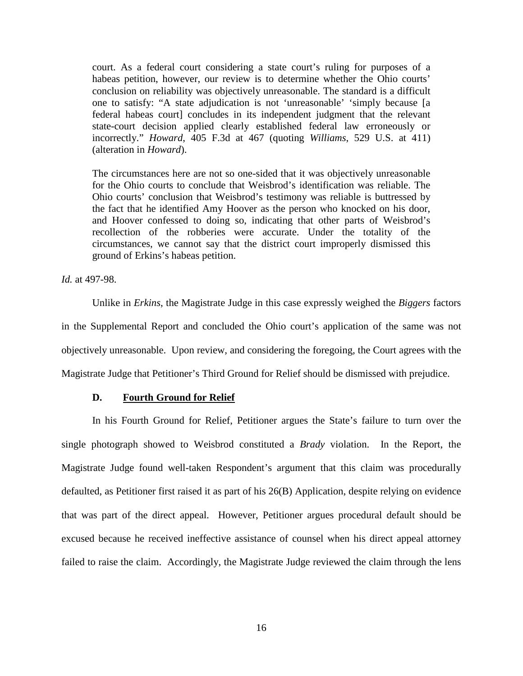court. As a federal court considering a state court's ruling for purposes of a habeas petition, however, our review is to determine whether the Ohio courts' conclusion on reliability was objectively unreasonable. The standard is a difficult one to satisfy: "A state adjudication is not 'unreasonable' 'simply because [a federal habeas court] concludes in its independent judgment that the relevant state-court decision applied clearly established federal law erroneously or incorrectly." *Howard*, 405 F.3d at 467 (quoting *Williams*, 529 U.S. at 411) (alteration in *Howard*).

The circumstances here are not so one-sided that it was objectively unreasonable for the Ohio courts to conclude that Weisbrod's identification was reliable. The Ohio courts' conclusion that Weisbrod's testimony was reliable is buttressed by the fact that he identified Amy Hoover as the person who knocked on his door, and Hoover confessed to doing so, indicating that other parts of Weisbrod's recollection of the robberies were accurate. Under the totality of the circumstances, we cannot say that the district court improperly dismissed this ground of Erkins's habeas petition.

*Id.* at 497-98.

Unlike in *Erkins*, the Magistrate Judge in this case expressly weighed the *Biggers* factors in the Supplemental Report and concluded the Ohio court's application of the same was not objectively unreasonable. Upon review, and considering the foregoing, the Court agrees with the Magistrate Judge that Petitioner's Third Ground for Relief should be dismissed with prejudice.

# **D. Fourth Ground for Relief**

In his Fourth Ground for Relief, Petitioner argues the State's failure to turn over the single photograph showed to Weisbrod constituted a *Brady* violation. In the Report, the Magistrate Judge found well-taken Respondent's argument that this claim was procedurally defaulted, as Petitioner first raised it as part of his 26(B) Application, despite relying on evidence that was part of the direct appeal. However, Petitioner argues procedural default should be excused because he received ineffective assistance of counsel when his direct appeal attorney failed to raise the claim. Accordingly, the Magistrate Judge reviewed the claim through the lens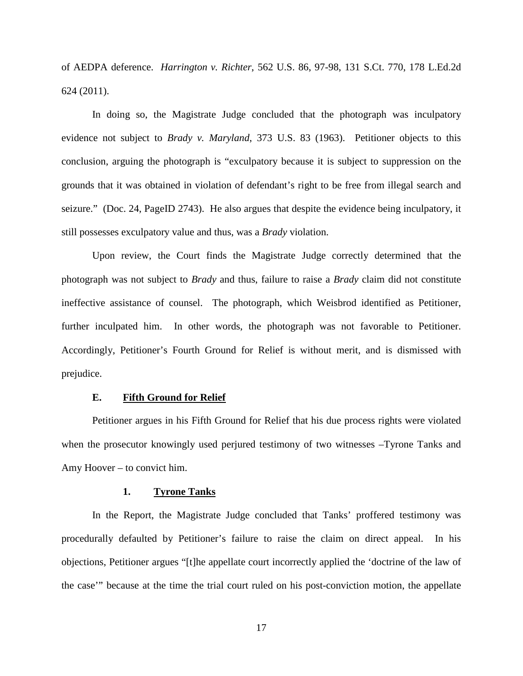of AEDPA deference. *Harrington v. Richter*, 562 U.S. 86, 97-98, 131 S.Ct. 770, 178 L.Ed.2d 624 (2011).

In doing so, the Magistrate Judge concluded that the photograph was inculpatory evidence not subject to *Brady v. Maryland*, 373 U.S. 83 (1963). Petitioner objects to this conclusion, arguing the photograph is "exculpatory because it is subject to suppression on the grounds that it was obtained in violation of defendant's right to be free from illegal search and seizure." (Doc. 24, PageID 2743). He also argues that despite the evidence being inculpatory, it still possesses exculpatory value and thus, was a *Brady* violation.

Upon review, the Court finds the Magistrate Judge correctly determined that the photograph was not subject to *Brady* and thus, failure to raise a *Brady* claim did not constitute ineffective assistance of counsel. The photograph, which Weisbrod identified as Petitioner, further inculpated him. In other words, the photograph was not favorable to Petitioner. Accordingly, Petitioner's Fourth Ground for Relief is without merit, and is dismissed with prejudice.

#### **E. Fifth Ground for Relief**

Petitioner argues in his Fifth Ground for Relief that his due process rights were violated when the prosecutor knowingly used perjured testimony of two witnesses –Tyrone Tanks and Amy Hoover – to convict him.

#### **1. Tyrone Tanks**

In the Report, the Magistrate Judge concluded that Tanks' proffered testimony was procedurally defaulted by Petitioner's failure to raise the claim on direct appeal. In his objections, Petitioner argues "[t]he appellate court incorrectly applied the 'doctrine of the law of the case'" because at the time the trial court ruled on his post-conviction motion, the appellate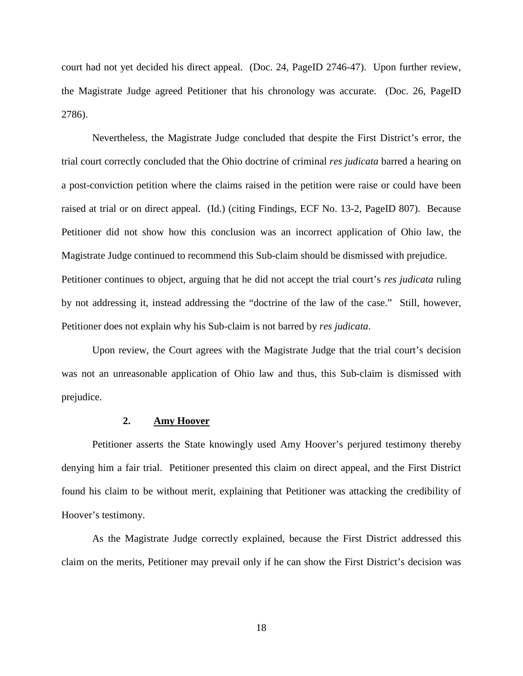court had not yet decided his direct appeal. (Doc. 24, PageID 2746-47). Upon further review, the Magistrate Judge agreed Petitioner that his chronology was accurate. (Doc. 26, PageID 2786).

Nevertheless, the Magistrate Judge concluded that despite the First District's error, the trial court correctly concluded that the Ohio doctrine of criminal *res judicata* barred a hearing on a post-conviction petition where the claims raised in the petition were raise or could have been raised at trial or on direct appeal. (Id.) (citing Findings, ECF No. 13-2, PageID 807). Because Petitioner did not show how this conclusion was an incorrect application of Ohio law, the Magistrate Judge continued to recommend this Sub-claim should be dismissed with prejudice.

Petitioner continues to object, arguing that he did not accept the trial court's *res judicata* ruling by not addressing it, instead addressing the "doctrine of the law of the case." Still, however, Petitioner does not explain why his Sub-claim is not barred by *res judicata*.

Upon review, the Court agrees with the Magistrate Judge that the trial court's decision was not an unreasonable application of Ohio law and thus, this Sub-claim is dismissed with prejudice.

# **2. Amy Hoover**

Petitioner asserts the State knowingly used Amy Hoover's perjured testimony thereby denying him a fair trial. Petitioner presented this claim on direct appeal, and the First District found his claim to be without merit, explaining that Petitioner was attacking the credibility of Hoover's testimony.

As the Magistrate Judge correctly explained, because the First District addressed this claim on the merits, Petitioner may prevail only if he can show the First District's decision was

18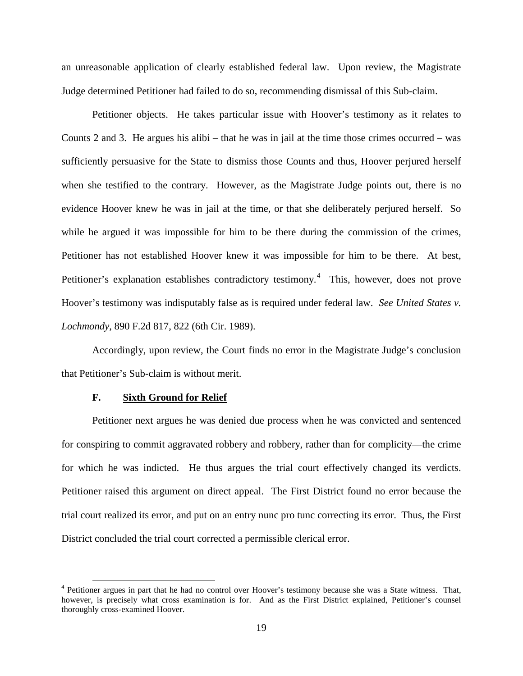an unreasonable application of clearly established federal law. Upon review, the Magistrate Judge determined Petitioner had failed to do so, recommending dismissal of this Sub-claim.

Petitioner objects. He takes particular issue with Hoover's testimony as it relates to Counts 2 and 3. He argues his alibi – that he was in jail at the time those crimes occurred – was sufficiently persuasive for the State to dismiss those Counts and thus, Hoover perjured herself when she testified to the contrary. However, as the Magistrate Judge points out, there is no evidence Hoover knew he was in jail at the time, or that she deliberately perjured herself. So while he argued it was impossible for him to be there during the commission of the crimes, Petitioner has not established Hoover knew it was impossible for him to be there. At best, Petitioner's explanation establishes contradictory testimony.<sup>[4](#page-18-0)</sup> This, however, does not prove Hoover's testimony was indisputably false as is required under federal law. *See United States v. Lochmondy*, 890 F.2d 817, 822 (6th Cir. 1989).

Accordingly, upon review, the Court finds no error in the Magistrate Judge's conclusion that Petitioner's Sub-claim is without merit.

#### **F. Sixth Ground for Relief**

1

Petitioner next argues he was denied due process when he was convicted and sentenced for conspiring to commit aggravated robbery and robbery, rather than for complicity—the crime for which he was indicted. He thus argues the trial court effectively changed its verdicts. Petitioner raised this argument on direct appeal. The First District found no error because the trial court realized its error, and put on an entry nunc pro tunc correcting its error. Thus, the First District concluded the trial court corrected a permissible clerical error.

<span id="page-18-0"></span><sup>&</sup>lt;sup>4</sup> Petitioner argues in part that he had no control over Hoover's testimony because she was a State witness. That, however, is precisely what cross examination is for. And as the First District explained, Petitioner's counsel thoroughly cross-examined Hoover.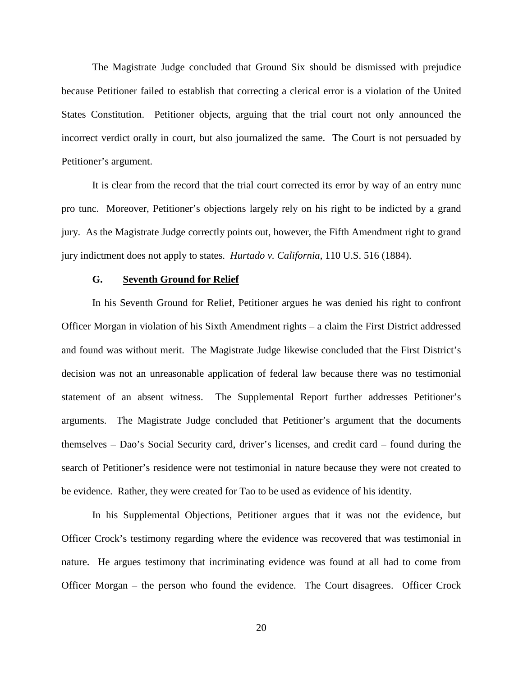The Magistrate Judge concluded that Ground Six should be dismissed with prejudice because Petitioner failed to establish that correcting a clerical error is a violation of the United States Constitution. Petitioner objects, arguing that the trial court not only announced the incorrect verdict orally in court, but also journalized the same. The Court is not persuaded by Petitioner's argument.

It is clear from the record that the trial court corrected its error by way of an entry nunc pro tunc. Moreover, Petitioner's objections largely rely on his right to be indicted by a grand jury. As the Magistrate Judge correctly points out, however, the Fifth Amendment right to grand jury indictment does not apply to states. *Hurtado v. California*, 110 U.S. 516 (1884).

# **G. Seventh Ground for Relief**

In his Seventh Ground for Relief, Petitioner argues he was denied his right to confront Officer Morgan in violation of his Sixth Amendment rights – a claim the First District addressed and found was without merit. The Magistrate Judge likewise concluded that the First District's decision was not an unreasonable application of federal law because there was no testimonial statement of an absent witness. The Supplemental Report further addresses Petitioner's arguments. The Magistrate Judge concluded that Petitioner's argument that the documents themselves – Dao's Social Security card, driver's licenses, and credit card – found during the search of Petitioner's residence were not testimonial in nature because they were not created to be evidence. Rather, they were created for Tao to be used as evidence of his identity.

In his Supplemental Objections, Petitioner argues that it was not the evidence, but Officer Crock's testimony regarding where the evidence was recovered that was testimonial in nature. He argues testimony that incriminating evidence was found at all had to come from Officer Morgan – the person who found the evidence. The Court disagrees. Officer Crock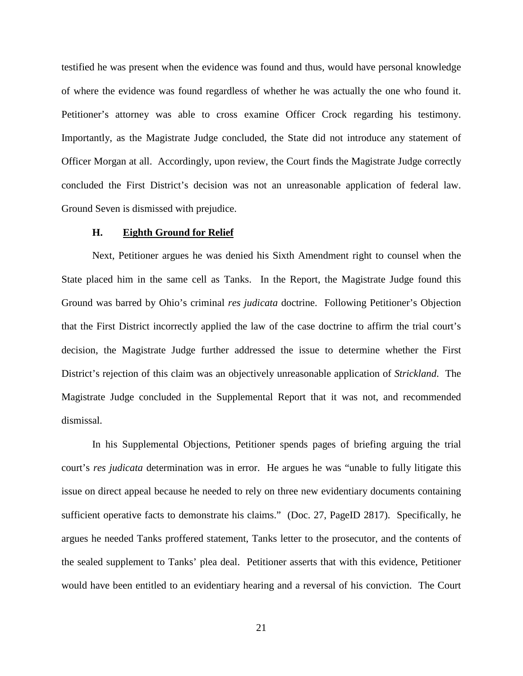testified he was present when the evidence was found and thus, would have personal knowledge of where the evidence was found regardless of whether he was actually the one who found it. Petitioner's attorney was able to cross examine Officer Crock regarding his testimony. Importantly, as the Magistrate Judge concluded, the State did not introduce any statement of Officer Morgan at all. Accordingly, upon review, the Court finds the Magistrate Judge correctly concluded the First District's decision was not an unreasonable application of federal law. Ground Seven is dismissed with prejudice.

#### **H. Eighth Ground for Relief**

Next, Petitioner argues he was denied his Sixth Amendment right to counsel when the State placed him in the same cell as Tanks. In the Report, the Magistrate Judge found this Ground was barred by Ohio's criminal *res judicata* doctrine. Following Petitioner's Objection that the First District incorrectly applied the law of the case doctrine to affirm the trial court's decision, the Magistrate Judge further addressed the issue to determine whether the First District's rejection of this claim was an objectively unreasonable application of *Strickland*. The Magistrate Judge concluded in the Supplemental Report that it was not, and recommended dismissal.

In his Supplemental Objections, Petitioner spends pages of briefing arguing the trial court's *res judicata* determination was in error. He argues he was "unable to fully litigate this issue on direct appeal because he needed to rely on three new evidentiary documents containing sufficient operative facts to demonstrate his claims." (Doc. 27, PageID 2817). Specifically, he argues he needed Tanks proffered statement, Tanks letter to the prosecutor, and the contents of the sealed supplement to Tanks' plea deal. Petitioner asserts that with this evidence, Petitioner would have been entitled to an evidentiary hearing and a reversal of his conviction. The Court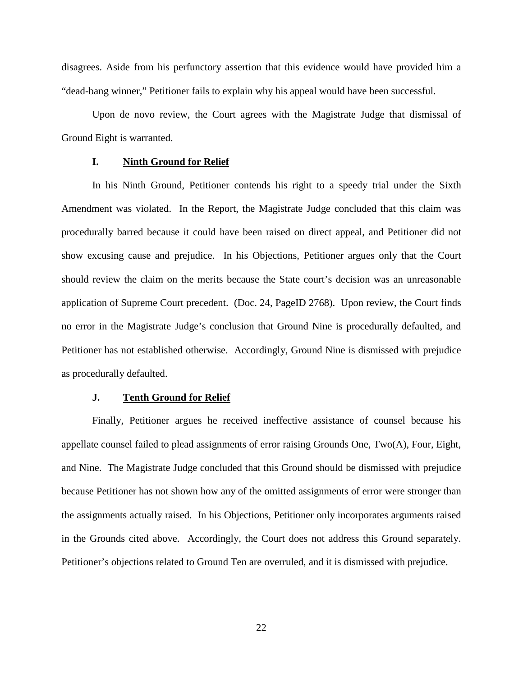disagrees. Aside from his perfunctory assertion that this evidence would have provided him a "dead-bang winner," Petitioner fails to explain why his appeal would have been successful.

Upon de novo review, the Court agrees with the Magistrate Judge that dismissal of Ground Eight is warranted.

# **I. Ninth Ground for Relief**

In his Ninth Ground, Petitioner contends his right to a speedy trial under the Sixth Amendment was violated. In the Report, the Magistrate Judge concluded that this claim was procedurally barred because it could have been raised on direct appeal, and Petitioner did not show excusing cause and prejudice. In his Objections, Petitioner argues only that the Court should review the claim on the merits because the State court's decision was an unreasonable application of Supreme Court precedent. (Doc. 24, PageID 2768). Upon review, the Court finds no error in the Magistrate Judge's conclusion that Ground Nine is procedurally defaulted, and Petitioner has not established otherwise. Accordingly, Ground Nine is dismissed with prejudice as procedurally defaulted.

#### **J. Tenth Ground for Relief**

Finally, Petitioner argues he received ineffective assistance of counsel because his appellate counsel failed to plead assignments of error raising Grounds One, Two(A), Four, Eight, and Nine. The Magistrate Judge concluded that this Ground should be dismissed with prejudice because Petitioner has not shown how any of the omitted assignments of error were stronger than the assignments actually raised. In his Objections, Petitioner only incorporates arguments raised in the Grounds cited above. Accordingly, the Court does not address this Ground separately. Petitioner's objections related to Ground Ten are overruled, and it is dismissed with prejudice.